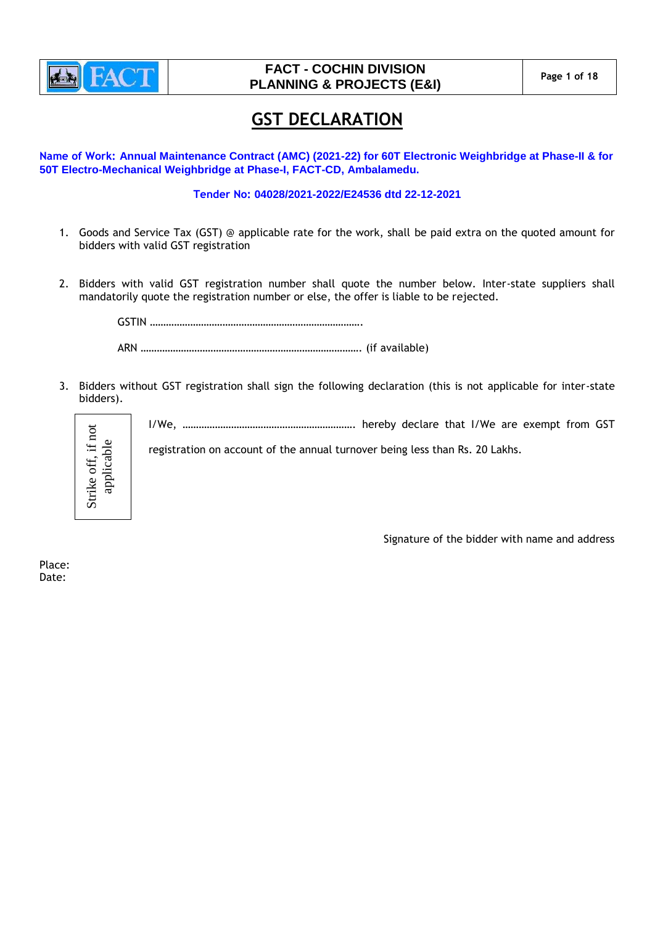

# **FACT - COCHIN DIVISION PLANNING & PROJECTS (E&I)** Page 1 of 18

# **GST DECLARATION**

**Name of Work: Annual Maintenance Contract (AMC) (2021-22) for 60T Electronic Weighbridge at Phase-II & for 50T Electro-Mechanical Weighbridge at Phase-I, FACT-CD, Ambalamedu.**

### **Tender No: 04028/2021-2022/E24536 dtd 22-12-2021**

- 1. Goods and Service Tax (GST) @ applicable rate for the work, shall be paid extra on the quoted amount for bidders with valid GST registration
- 2. Bidders with valid GST registration number shall quote the number below. Inter-state suppliers shall mandatorily quote the registration number or else, the offer is liable to be rejected.

GSTIN ……………………………………………………………………. ARN ………………………………………………………………………. (if available)

3. Bidders without GST registration shall sign the following declaration (this is not applicable for inter-state bidders).



I/We, ………………………………………………………. hereby declare that I/We are exempt from GST

registration on account of the annual turnover being less than Rs. 20 Lakhs.

Signature of the bidder with name and address

Place: Date: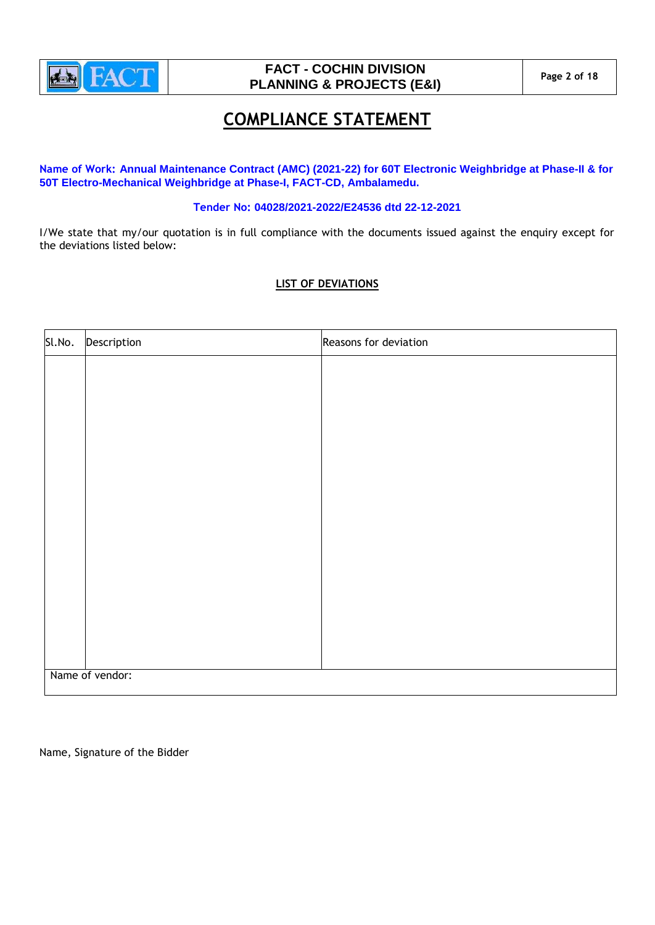

# **FACT - COCHIN DIVISION PLANNING & PROJECTS (E&I) Page 2 of 18**

# **COMPLIANCE STATEMENT**

**Name of Work: Annual Maintenance Contract (AMC) (2021-22) for 60T Electronic Weighbridge at Phase-II & for 50T Electro-Mechanical Weighbridge at Phase-I, FACT-CD, Ambalamedu.**

## **Tender No: 04028/2021-2022/E24536 dtd 22-12-2021**

I/We state that my/our quotation is in full compliance with the documents issued against the enquiry except for the deviations listed below:

## **LIST OF DEVIATIONS**

| Sl.No.          | Description | Reasons for deviation |  |  |
|-----------------|-------------|-----------------------|--|--|
|                 |             |                       |  |  |
|                 |             |                       |  |  |
|                 |             |                       |  |  |
|                 |             |                       |  |  |
|                 |             |                       |  |  |
|                 |             |                       |  |  |
|                 |             |                       |  |  |
|                 |             |                       |  |  |
|                 |             |                       |  |  |
|                 |             |                       |  |  |
|                 |             |                       |  |  |
|                 |             |                       |  |  |
|                 |             |                       |  |  |
| Name of vendor: |             |                       |  |  |

Name, Signature of the Bidder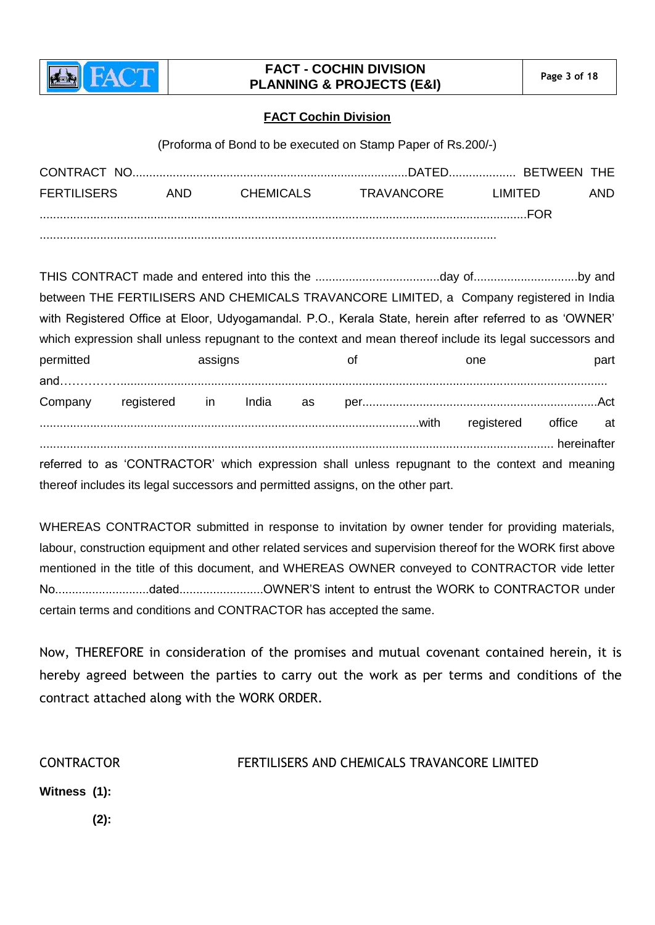

# **FACT - COCHIN DIVISION PLANNING & PROJECTS (E&I)** Page 3 of 18

## **FACT Cochin Division**

(Proforma of Bond to be executed on Stamp Paper of Rs.200/-)

| CONTRACT NO.       |      |           |            |          |      |
|--------------------|------|-----------|------------|----------|------|
| <b>FERTILISERS</b> | AND. | CHEMICALS | TRAVANCORF | LIMITED. | AND. |
|                    |      |           |            | FOR      |      |
|                    |      |           |            |          |      |

THIS CONTRACT made and entered into this the .....................................day of...............................by and between THE FERTILISERS AND CHEMICALS TRAVANCORE LIMITED, a Company registered in India with Registered Office at Eloor, Udyogamandal. P.O., Kerala State, herein after referred to as 'OWNER' which expression shall unless repugnant to the context and mean thereof include its legal successors and permitted **assigns** assigns of one part and……………................................................................................................................................................. Company registered in India as per......................................................................Act .................................................................................................................with registered office at ......................................................................................................................................................... hereinafter referred to as 'CONTRACTOR' which expression shall unless repugnant to the context and meaning thereof includes its legal successors and permitted assigns, on the other part.

WHEREAS CONTRACTOR submitted in response to invitation by owner tender for providing materials, labour, construction equipment and other related services and supervision thereof for the WORK first above mentioned in the title of this document, and WHEREAS OWNER conveyed to CONTRACTOR vide letter No............................dated.........................OWNER'S intent to entrust the WORK to CONTRACTOR under certain terms and conditions and CONTRACTOR has accepted the same.

Now, THEREFORE in consideration of the promises and mutual covenant contained herein, it is hereby agreed between the parties to carry out the work as per terms and conditions of the contract attached along with the WORK ORDER.

CONTRACTOR FERTILISERS AND CHEMICALS TRAVANCORE LIMITED

**Witness (1):**

 **(2):**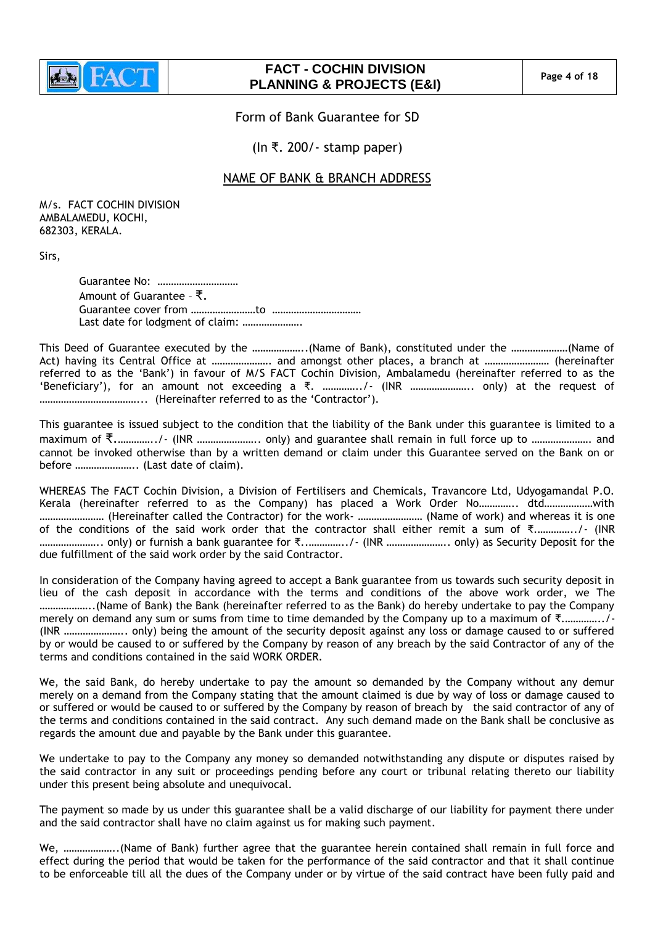

# **FACT - COCHIN DIVISION PLANNING & PROJECTS (E&I) Page 4 of 18**

Form of Bank Guarantee for SD

(In ₹. 200/- stamp paper)

# NAME OF BANK & BRANCH ADDRESS

M/s. FACT COCHIN DIVISION AMBALAMEDU, KOCHI, 682303, KERALA.

Sirs,

Guarantee No: ………………………… Amount of Guarantee – ₹. Guarantee cover from ……………………to …………………………… Last date for lodgment of claim: ………………….

This Deed of Guarantee executed by the ………………..(Name of Bank), constituted under the …………………(Name of Act) having its Central Office at …………………. and amongst other places, a branch at …………………… (hereinafter referred to as the "Bank") in favour of M/S FACT Cochin Division, Ambalamedu (hereinafter referred to as the "Beneficiary'), for an amount not exceeding a  $\bar{\tau}$ . ……………../- (INR …………………….. only) at the request of ………………………………... (Hereinafter referred to as the "Contractor").

This guarantee is issued subject to the condition that the liability of the Bank under this guarantee is limited to a maximum of ₹.…………../- (INR ………………….. only) and guarantee shall remain in full force up to …………………. and cannot be invoked otherwise than by a written demand or claim under this Guarantee served on the Bank on or before ………………….. (Last date of claim).

WHEREAS The FACT Cochin Division, a Division of Fertilisers and Chemicals, Travancore Ltd, Udyogamandal P.O. Kerala (hereinafter referred to as the Company) has placed a Work Order No………….. dtd………………with …………………… (Hereinafter called the Contractor) for the work- …………………… (Name of work) and whereas it is one of the conditions of the said work order that the contractor shall either remit a sum of ₹.…………../- (INR ………………….. only) or furnish a bank guarantee for ₹..…………../- (INR ………………….. only) as Security Deposit for the due fulfillment of the said work order by the said Contractor.

In consideration of the Company having agreed to accept a Bank guarantee from us towards such security deposit in lieu of the cash deposit in accordance with the terms and conditions of the above work order, we The ………………..(Name of Bank) the Bank (hereinafter referred to as the Bank) do hereby undertake to pay the Company merely on demand any sum or sums from time to time demanded by the Company up to a maximum of ₹.…………../- (INR ………………….. only) being the amount of the security deposit against any loss or damage caused to or suffered by or would be caused to or suffered by the Company by reason of any breach by the said Contractor of any of the terms and conditions contained in the said WORK ORDER.

We, the said Bank, do hereby undertake to pay the amount so demanded by the Company without any demur merely on a demand from the Company stating that the amount claimed is due by way of loss or damage caused to or suffered or would be caused to or suffered by the Company by reason of breach by the said contractor of any of the terms and conditions contained in the said contract. Any such demand made on the Bank shall be conclusive as regards the amount due and payable by the Bank under this guarantee.

We undertake to pay to the Company any money so demanded notwithstanding any dispute or disputes raised by the said contractor in any suit or proceedings pending before any court or tribunal relating thereto our liability under this present being absolute and unequivocal.

The payment so made by us under this guarantee shall be a valid discharge of our liability for payment there under and the said contractor shall have no claim against us for making such payment.

We, ………………..(Name of Bank) further agree that the guarantee herein contained shall remain in full force and effect during the period that would be taken for the performance of the said contractor and that it shall continue to be enforceable till all the dues of the Company under or by virtue of the said contract have been fully paid and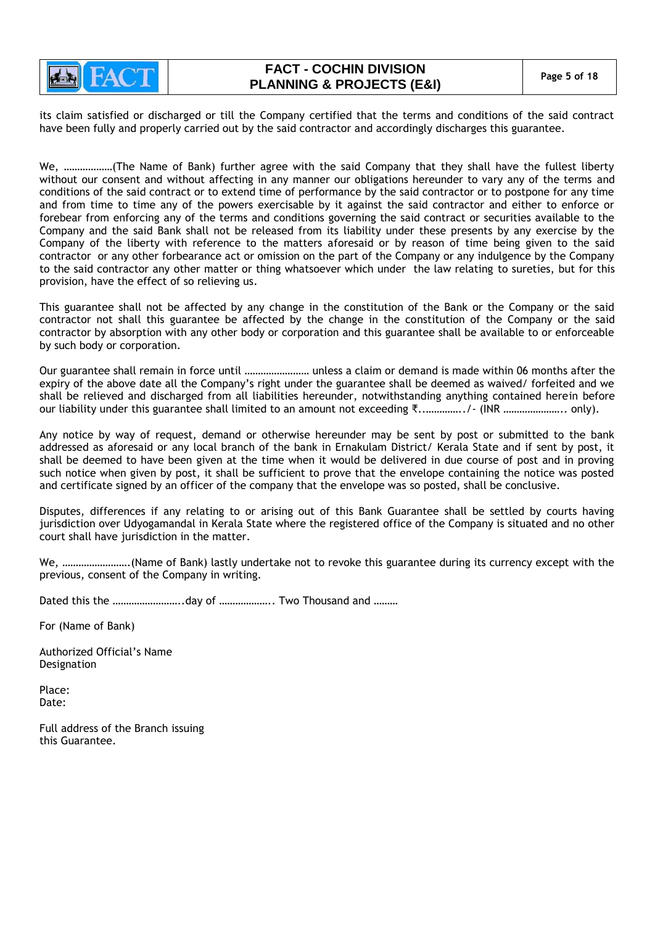

its claim satisfied or discharged or till the Company certified that the terms and conditions of the said contract have been fully and properly carried out by the said contractor and accordingly discharges this guarantee.

We, ………………(The Name of Bank) further agree with the said Company that they shall have the fullest liberty without our consent and without affecting in any manner our obligations hereunder to vary any of the terms and conditions of the said contract or to extend time of performance by the said contractor or to postpone for any time and from time to time any of the powers exercisable by it against the said contractor and either to enforce or forebear from enforcing any of the terms and conditions governing the said contract or securities available to the Company and the said Bank shall not be released from its liability under these presents by any exercise by the Company of the liberty with reference to the matters aforesaid or by reason of time being given to the said contractor or any other forbearance act or omission on the part of the Company or any indulgence by the Company to the said contractor any other matter or thing whatsoever which under the law relating to sureties, but for this provision, have the effect of so relieving us.

This guarantee shall not be affected by any change in the constitution of the Bank or the Company or the said contractor not shall this guarantee be affected by the change in the constitution of the Company or the said contractor by absorption with any other body or corporation and this guarantee shall be available to or enforceable by such body or corporation.

Our guarantee shall remain in force until …………………… unless a claim or demand is made within 06 months after the expiry of the above date all the Company"s right under the guarantee shall be deemed as waived/ forfeited and we shall be relieved and discharged from all liabilities hereunder, notwithstanding anything contained herein before our liability under this guarantee shall limited to an amount not exceeding ₹..…………../- (INR ………………….. only).

Any notice by way of request, demand or otherwise hereunder may be sent by post or submitted to the bank addressed as aforesaid or any local branch of the bank in Ernakulam District/ Kerala State and if sent by post, it shall be deemed to have been given at the time when it would be delivered in due course of post and in proving such notice when given by post, it shall be sufficient to prove that the envelope containing the notice was posted and certificate signed by an officer of the company that the envelope was so posted, shall be conclusive.

Disputes, differences if any relating to or arising out of this Bank Guarantee shall be settled by courts having jurisdiction over Udyogamandal in Kerala State where the registered office of the Company is situated and no other court shall have jurisdiction in the matter.

We, …………………….(Name of Bank) lastly undertake not to revoke this guarantee during its currency except with the previous, consent of the Company in writing.

Dated this the ……………………..day of ……………….. Two Thousand and ………

For (Name of Bank)

Authorized Official"s Name Designation

Place: Date:

Full address of the Branch issuing this Guarantee.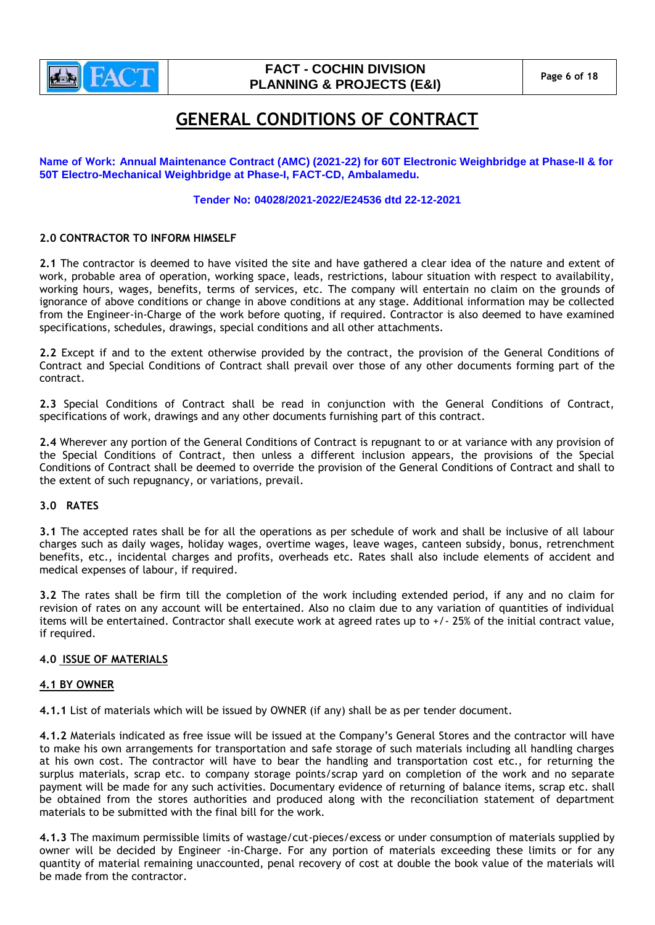

# **FACT - COCHIN DIVISION PLANNING & PROJECTS (E&I)** Page 6 of 18

# **GENERAL CONDITIONS OF CONTRACT**

**Name of Work: Annual Maintenance Contract (AMC) (2021-22) for 60T Electronic Weighbridge at Phase-II & for 50T Electro-Mechanical Weighbridge at Phase-I, FACT-CD, Ambalamedu.**

## **Tender No: 04028/2021-2022/E24536 dtd 22-12-2021**

## **2.0 CONTRACTOR TO INFORM HIMSELF**

**2.1** The contractor is deemed to have visited the site and have gathered a clear idea of the nature and extent of work, probable area of operation, working space, leads, restrictions, labour situation with respect to availability, working hours, wages, benefits, terms of services, etc. The company will entertain no claim on the grounds of ignorance of above conditions or change in above conditions at any stage. Additional information may be collected from the Engineer-in-Charge of the work before quoting, if required. Contractor is also deemed to have examined specifications, schedules, drawings, special conditions and all other attachments.

**2.2** Except if and to the extent otherwise provided by the contract, the provision of the General Conditions of Contract and Special Conditions of Contract shall prevail over those of any other documents forming part of the contract.

**2.3** Special Conditions of Contract shall be read in conjunction with the General Conditions of Contract, specifications of work, drawings and any other documents furnishing part of this contract.

**2.4** Wherever any portion of the General Conditions of Contract is repugnant to or at variance with any provision of the Special Conditions of Contract, then unless a different inclusion appears, the provisions of the Special Conditions of Contract shall be deemed to override the provision of the General Conditions of Contract and shall to the extent of such repugnancy, or variations, prevail.

#### **3.0 RATES**

**3.1** The accepted rates shall be for all the operations as per schedule of work and shall be inclusive of all labour charges such as daily wages, holiday wages, overtime wages, leave wages, canteen subsidy, bonus, retrenchment benefits, etc., incidental charges and profits, overheads etc. Rates shall also include elements of accident and medical expenses of labour, if required.

**3.2** The rates shall be firm till the completion of the work including extended period, if any and no claim for revision of rates on any account will be entertained. Also no claim due to any variation of quantities of individual items will be entertained. Contractor shall execute work at agreed rates up to +/- 25% of the initial contract value, if required.

#### **4.0 ISSUE OF MATERIALS**

#### **4.1 BY OWNER**

**4.1.1** List of materials which will be issued by OWNER (if any) shall be as per tender document.

**4.1.2** Materials indicated as free issue will be issued at the Company"s General Stores and the contractor will have to make his own arrangements for transportation and safe storage of such materials including all handling charges at his own cost. The contractor will have to bear the handling and transportation cost etc., for returning the surplus materials, scrap etc. to company storage points/scrap yard on completion of the work and no separate payment will be made for any such activities. Documentary evidence of returning of balance items, scrap etc. shall be obtained from the stores authorities and produced along with the reconciliation statement of department materials to be submitted with the final bill for the work.

**4.1.3** The maximum permissible limits of wastage/cut-pieces/excess or under consumption of materials supplied by owner will be decided by Engineer -in-Charge. For any portion of materials exceeding these limits or for any quantity of material remaining unaccounted, penal recovery of cost at double the book value of the materials will be made from the contractor.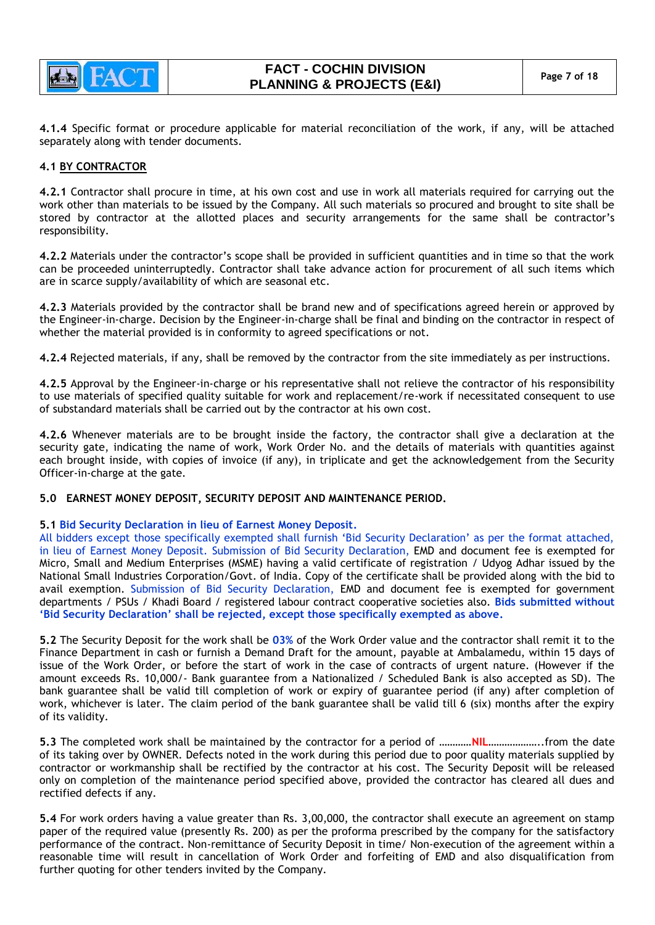

**4.1.4** Specific format or procedure applicable for material reconciliation of the work, if any, will be attached separately along with tender documents.

### **4.1 BY CONTRACTOR**

**4.2.1** Contractor shall procure in time, at his own cost and use in work all materials required for carrying out the work other than materials to be issued by the Company. All such materials so procured and brought to site shall be stored by contractor at the allotted places and security arrangements for the same shall be contractor"s responsibility.

**4.2.2** Materials under the contractor"s scope shall be provided in sufficient quantities and in time so that the work can be proceeded uninterruptedly. Contractor shall take advance action for procurement of all such items which are in scarce supply/availability of which are seasonal etc.

**4.2.3** Materials provided by the contractor shall be brand new and of specifications agreed herein or approved by the Engineer-in-charge. Decision by the Engineer-in-charge shall be final and binding on the contractor in respect of whether the material provided is in conformity to agreed specifications or not.

**4.2.4** Rejected materials, if any, shall be removed by the contractor from the site immediately as per instructions.

**4.2.5** Approval by the Engineer-in-charge or his representative shall not relieve the contractor of his responsibility to use materials of specified quality suitable for work and replacement/re-work if necessitated consequent to use of substandard materials shall be carried out by the contractor at his own cost.

**4.2.6** Whenever materials are to be brought inside the factory, the contractor shall give a declaration at the security gate, indicating the name of work, Work Order No. and the details of materials with quantities against each brought inside, with copies of invoice (if any), in triplicate and get the acknowledgement from the Security Officer-in-charge at the gate.

#### **5.0 EARNEST MONEY DEPOSIT, SECURITY DEPOSIT AND MAINTENANCE PERIOD.**

#### **5.1 Bid Security Declaration in lieu of Earnest Money Deposit.**

All bidders except those specifically exempted shall furnish "Bid Security Declaration" as per the format attached, in lieu of Earnest Money Deposit. Submission of Bid Security Declaration, EMD and document fee is exempted for Micro, Small and Medium Enterprises (MSME) having a valid certificate of registration / Udyog Adhar issued by the National Small Industries Corporation/Govt. of India. Copy of the certificate shall be provided along with the bid to avail exemption. Submission of Bid Security Declaration, EMD and document fee is exempted for government departments / PSUs / Khadi Board / registered labour contract cooperative societies also. **Bids submitted without 'Bid Security Declaration' shall be rejected, except those specifically exempted as above.**

**5.2** The Security Deposit for the work shall be **03%** of the Work Order value and the contractor shall remit it to the Finance Department in cash or furnish a Demand Draft for the amount, payable at Ambalamedu, within 15 days of issue of the Work Order, or before the start of work in the case of contracts of urgent nature. (However if the amount exceeds Rs. 10,000/- Bank guarantee from a Nationalized / Scheduled Bank is also accepted as SD). The bank guarantee shall be valid till completion of work or expiry of guarantee period (if any) after completion of work, whichever is later. The claim period of the bank guarantee shall be valid till 6 (six) months after the expiry of its validity.

**5.3** The completed work shall be maintained by the contractor for a period of …………**NIL**………………..from the date of its taking over by OWNER. Defects noted in the work during this period due to poor quality materials supplied by contractor or workmanship shall be rectified by the contractor at his cost. The Security Deposit will be released only on completion of the maintenance period specified above, provided the contractor has cleared all dues and rectified defects if any.

**5.4** For work orders having a value greater than Rs. 3,00,000, the contractor shall execute an agreement on stamp paper of the required value (presently Rs. 200) as per the proforma prescribed by the company for the satisfactory performance of the contract. Non-remittance of Security Deposit in time/ Non-execution of the agreement within a reasonable time will result in cancellation of Work Order and forfeiting of EMD and also disqualification from further quoting for other tenders invited by the Company.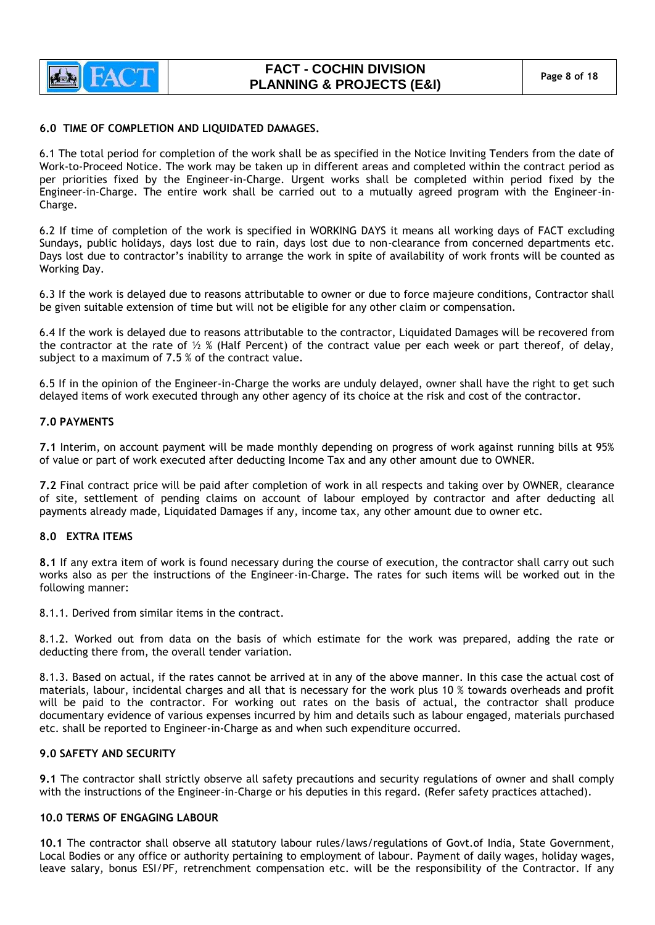

### **6.0 TIME OF COMPLETION AND LIQUIDATED DAMAGES.**

6.1 The total period for completion of the work shall be as specified in the Notice Inviting Tenders from the date of Work-to-Proceed Notice. The work may be taken up in different areas and completed within the contract period as per priorities fixed by the Engineer-in-Charge. Urgent works shall be completed within period fixed by the Engineer-in-Charge. The entire work shall be carried out to a mutually agreed program with the Engineer-in-Charge.

6.2 If time of completion of the work is specified in WORKING DAYS it means all working days of FACT excluding Sundays, public holidays, days lost due to rain, days lost due to non-clearance from concerned departments etc. Days lost due to contractor"s inability to arrange the work in spite of availability of work fronts will be counted as Working Day.

6.3 If the work is delayed due to reasons attributable to owner or due to force majeure conditions, Contractor shall be given suitable extension of time but will not be eligible for any other claim or compensation.

6.4 If the work is delayed due to reasons attributable to the contractor, Liquidated Damages will be recovered from the contractor at the rate of  $\frac{1}{2}$  % (Half Percent) of the contract value per each week or part thereof, of delay, subject to a maximum of 7.5 % of the contract value.

6.5 If in the opinion of the Engineer-in-Charge the works are unduly delayed, owner shall have the right to get such delayed items of work executed through any other agency of its choice at the risk and cost of the contractor.

#### **7.0 PAYMENTS**

**7.1** Interim, on account payment will be made monthly depending on progress of work against running bills at 95% of value or part of work executed after deducting Income Tax and any other amount due to OWNER.

**7.2** Final contract price will be paid after completion of work in all respects and taking over by OWNER, clearance of site, settlement of pending claims on account of labour employed by contractor and after deducting all payments already made, Liquidated Damages if any, income tax, any other amount due to owner etc.

#### **8.0 EXTRA ITEMS**

**8.1** If any extra item of work is found necessary during the course of execution, the contractor shall carry out such works also as per the instructions of the Engineer-in-Charge. The rates for such items will be worked out in the following manner:

8.1.1. Derived from similar items in the contract.

8.1.2. Worked out from data on the basis of which estimate for the work was prepared, adding the rate or deducting there from, the overall tender variation.

8.1.3. Based on actual, if the rates cannot be arrived at in any of the above manner. In this case the actual cost of materials, labour, incidental charges and all that is necessary for the work plus 10 % towards overheads and profit will be paid to the contractor. For working out rates on the basis of actual, the contractor shall produce documentary evidence of various expenses incurred by him and details such as labour engaged, materials purchased etc. shall be reported to Engineer-in-Charge as and when such expenditure occurred.

## **9.0 SAFETY AND SECURITY**

**9.1** The contractor shall strictly observe all safety precautions and security regulations of owner and shall comply with the instructions of the Engineer-in-Charge or his deputies in this regard. (Refer safety practices attached).

#### **10.0 TERMS OF ENGAGING LABOUR**

**10.1** The contractor shall observe all statutory labour rules/laws/regulations of Govt.of India, State Government, Local Bodies or any office or authority pertaining to employment of labour. Payment of daily wages, holiday wages, leave salary, bonus ESI/PF, retrenchment compensation etc. will be the responsibility of the Contractor. If any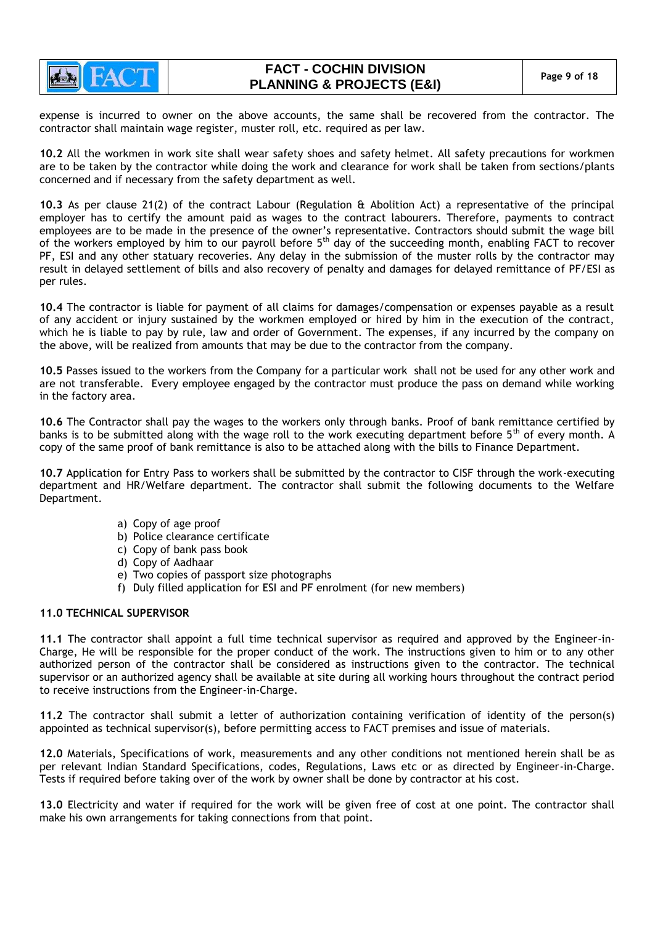

# **FACT - COCHIN DIVISION PLANNING & PROJECTS (E&I) Page 9 of 18**

expense is incurred to owner on the above accounts, the same shall be recovered from the contractor. The contractor shall maintain wage register, muster roll, etc. required as per law.

**10.2** All the workmen in work site shall wear safety shoes and safety helmet. All safety precautions for workmen are to be taken by the contractor while doing the work and clearance for work shall be taken from sections/plants concerned and if necessary from the safety department as well.

**10.3** As per clause 21(2) of the contract Labour (Regulation & Abolition Act) a representative of the principal employer has to certify the amount paid as wages to the contract labourers. Therefore, payments to contract employees are to be made in the presence of the owner"s representative. Contractors should submit the wage bill of the workers employed by him to our payroll before 5<sup>th</sup> day of the succeeding month, enabling FACT to recover PF, ESI and any other statuary recoveries. Any delay in the submission of the muster rolls by the contractor may result in delayed settlement of bills and also recovery of penalty and damages for delayed remittance of PF/ESI as per rules.

**10.4** The contractor is liable for payment of all claims for damages/compensation or expenses payable as a result of any accident or injury sustained by the workmen employed or hired by him in the execution of the contract, which he is liable to pay by rule, law and order of Government. The expenses, if any incurred by the company on the above, will be realized from amounts that may be due to the contractor from the company.

**10.5** Passes issued to the workers from the Company for a particular work shall not be used for any other work and are not transferable. Every employee engaged by the contractor must produce the pass on demand while working in the factory area.

**10.6** The Contractor shall pay the wages to the workers only through banks. Proof of bank remittance certified by banks is to be submitted along with the wage roll to the work executing department before 5<sup>th</sup> of every month. A copy of the same proof of bank remittance is also to be attached along with the bills to Finance Department.

**10.7** Application for Entry Pass to workers shall be submitted by the contractor to CISF through the work-executing department and HR/Welfare department. The contractor shall submit the following documents to the Welfare Department.

- a) Copy of age proof
- b) Police clearance certificate
- c) Copy of bank pass book
- d) Copy of Aadhaar
- e) Two copies of passport size photographs
- f) Duly filled application for ESI and PF enrolment (for new members)

#### **11.0 TECHNICAL SUPERVISOR**

**11.1** The contractor shall appoint a full time technical supervisor as required and approved by the Engineer-in-Charge, He will be responsible for the proper conduct of the work. The instructions given to him or to any other authorized person of the contractor shall be considered as instructions given to the contractor. The technical supervisor or an authorized agency shall be available at site during all working hours throughout the contract period to receive instructions from the Engineer-in-Charge.

**11.2** The contractor shall submit a letter of authorization containing verification of identity of the person(s) appointed as technical supervisor(s), before permitting access to FACT premises and issue of materials.

**12.0** Materials, Specifications of work, measurements and any other conditions not mentioned herein shall be as per relevant Indian Standard Specifications, codes, Regulations, Laws etc or as directed by Engineer-in-Charge. Tests if required before taking over of the work by owner shall be done by contractor at his cost.

**13.0** Electricity and water if required for the work will be given free of cost at one point. The contractor shall make his own arrangements for taking connections from that point.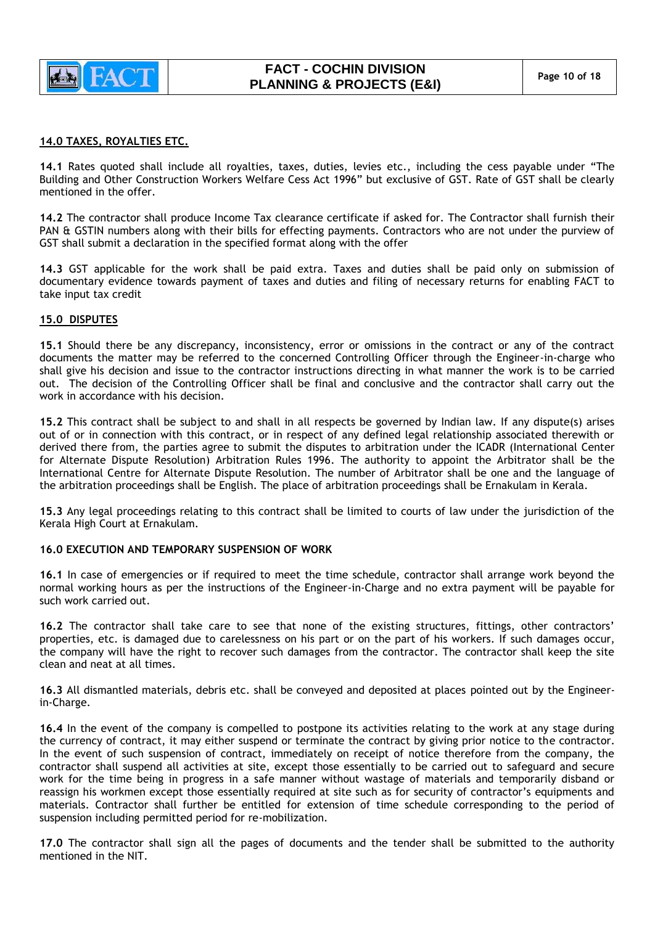

## **14.0 TAXES, ROYALTIES ETC.**

**14.1** Rates quoted shall include all royalties, taxes, duties, levies etc., including the cess payable under "The Building and Other Construction Workers Welfare Cess Act 1996" but exclusive of GST. Rate of GST shall be clearly mentioned in the offer.

**14.2** The contractor shall produce Income Tax clearance certificate if asked for. The Contractor shall furnish their PAN & GSTIN numbers along with their bills for effecting payments. Contractors who are not under the purview of GST shall submit a declaration in the specified format along with the offer

**14.3** GST applicable for the work shall be paid extra. Taxes and duties shall be paid only on submission of documentary evidence towards payment of taxes and duties and filing of necessary returns for enabling FACT to take input tax credit

#### **15.0 DISPUTES**

**15.1** Should there be any discrepancy, inconsistency, error or omissions in the contract or any of the contract documents the matter may be referred to the concerned Controlling Officer through the Engineer-in-charge who shall give his decision and issue to the contractor instructions directing in what manner the work is to be carried out. The decision of the Controlling Officer shall be final and conclusive and the contractor shall carry out the work in accordance with his decision.

**15.2** This contract shall be subject to and shall in all respects be governed by Indian law. If any dispute(s) arises out of or in connection with this contract, or in respect of any defined legal relationship associated therewith or derived there from, the parties agree to submit the disputes to arbitration under the ICADR (International Center for Alternate Dispute Resolution) Arbitration Rules 1996. The authority to appoint the Arbitrator shall be the International Centre for Alternate Dispute Resolution. The number of Arbitrator shall be one and the language of the arbitration proceedings shall be English. The place of arbitration proceedings shall be Ernakulam in Kerala.

**15.3** Any legal proceedings relating to this contract shall be limited to courts of law under the jurisdiction of the Kerala High Court at Ernakulam.

#### **16.0 EXECUTION AND TEMPORARY SUSPENSION OF WORK**

**16.1** In case of emergencies or if required to meet the time schedule, contractor shall arrange work beyond the normal working hours as per the instructions of the Engineer-in-Charge and no extra payment will be payable for such work carried out.

**16.2** The contractor shall take care to see that none of the existing structures, fittings, other contractors" properties, etc. is damaged due to carelessness on his part or on the part of his workers. If such damages occur, the company will have the right to recover such damages from the contractor. The contractor shall keep the site clean and neat at all times.

**16.3** All dismantled materials, debris etc. shall be conveyed and deposited at places pointed out by the Engineerin-Charge.

**16.4** In the event of the company is compelled to postpone its activities relating to the work at any stage during the currency of contract, it may either suspend or terminate the contract by giving prior notice to the contractor. In the event of such suspension of contract, immediately on receipt of notice therefore from the company, the contractor shall suspend all activities at site, except those essentially to be carried out to safeguard and secure work for the time being in progress in a safe manner without wastage of materials and temporarily disband or reassign his workmen except those essentially required at site such as for security of contractor"s equipments and materials. Contractor shall further be entitled for extension of time schedule corresponding to the period of suspension including permitted period for re-mobilization.

**17.0** The contractor shall sign all the pages of documents and the tender shall be submitted to the authority mentioned in the NIT.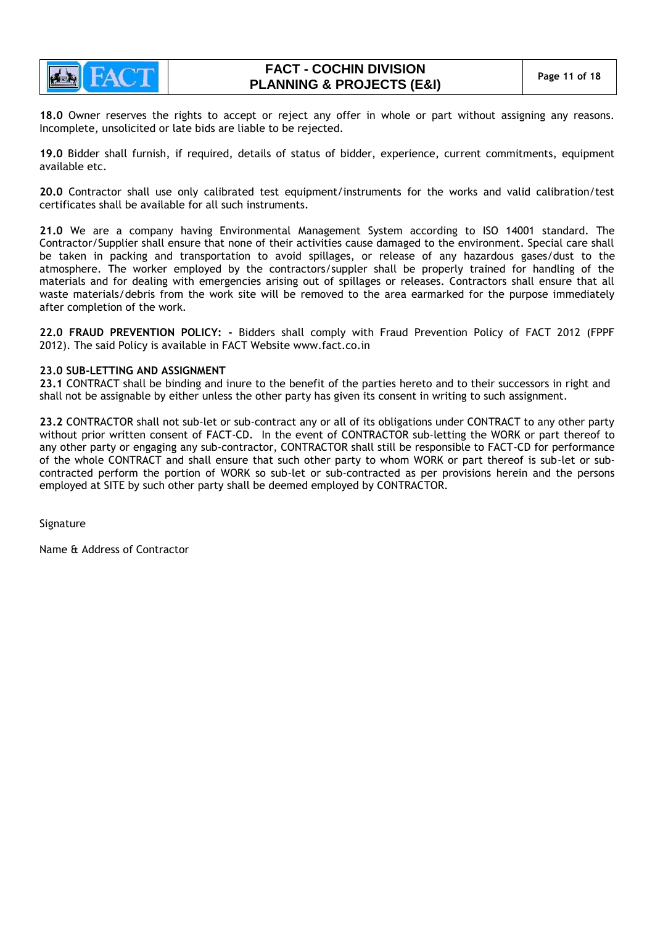

**18.0** Owner reserves the rights to accept or reject any offer in whole or part without assigning any reasons. Incomplete, unsolicited or late bids are liable to be rejected.

**19.0** Bidder shall furnish, if required, details of status of bidder, experience, current commitments, equipment available etc.

**20.0** Contractor shall use only calibrated test equipment/instruments for the works and valid calibration/test certificates shall be available for all such instruments.

**21.0** We are a company having Environmental Management System according to ISO 14001 standard. The Contractor/Supplier shall ensure that none of their activities cause damaged to the environment. Special care shall be taken in packing and transportation to avoid spillages, or release of any hazardous gases/dust to the atmosphere. The worker employed by the contractors/suppler shall be properly trained for handling of the materials and for dealing with emergencies arising out of spillages or releases. Contractors shall ensure that all waste materials/debris from the work site will be removed to the area earmarked for the purpose immediately after completion of the work.

**22.0 FRAUD PREVENTION POLICY: -** Bidders shall comply with Fraud Prevention Policy of FACT 2012 (FPPF 2012). The said Policy is available in FACT Website [www.fact.co.in](http://www.fact.co.in/)

#### **23.0 SUB-LETTING AND ASSIGNMENT**

**23.1** CONTRACT shall be binding and inure to the benefit of the parties hereto and to their successors in right and shall not be assignable by either unless the other party has given its consent in writing to such assignment.

**23.2** CONTRACTOR shall not sub-let or sub-contract any or all of its obligations under CONTRACT to any other party without prior written consent of FACT-CD. In the event of CONTRACTOR sub-letting the WORK or part thereof to any other party or engaging any sub-contractor, CONTRACTOR shall still be responsible to FACT-CD for performance of the whole CONTRACT and shall ensure that such other party to whom WORK or part thereof is sub-let or subcontracted perform the portion of WORK so sub-let or sub-contracted as per provisions herein and the persons employed at SITE by such other party shall be deemed employed by CONTRACTOR.

Signature

Name & Address of Contractor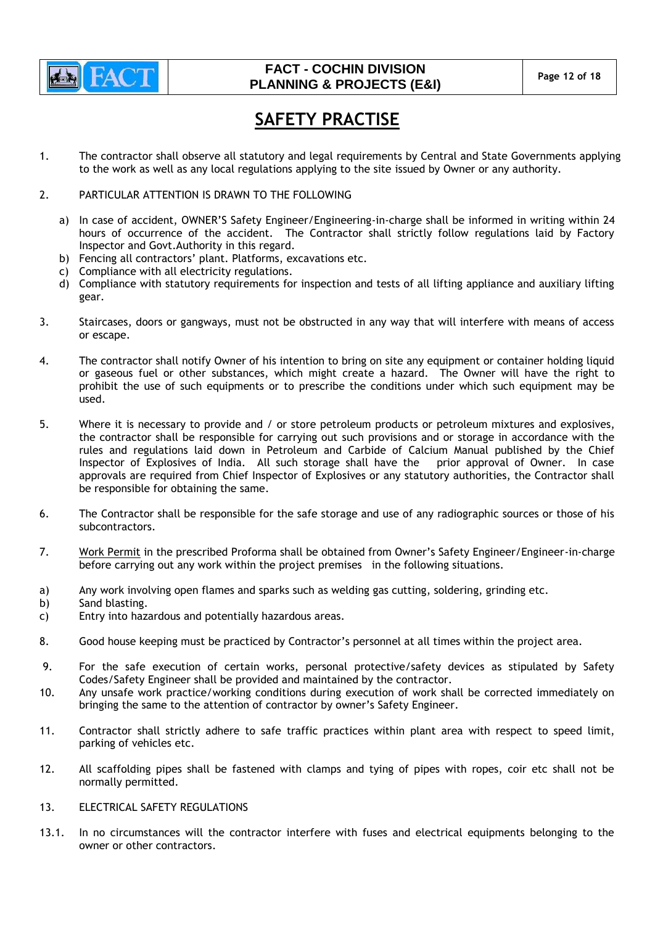

# **FACT - COCHIN DIVISION PLANNING & PROJECTS (E&I)** Page 12 of 18

# **SAFETY PRACTISE**

- 1. The contractor shall observe all statutory and legal requirements by Central and State Governments applying to the work as well as any local regulations applying to the site issued by Owner or any authority.
- 2. PARTICULAR ATTENTION IS DRAWN TO THE FOLLOWING
	- a) In case of accident, OWNER"S Safety Engineer/Engineering-in-charge shall be informed in writing within 24 hours of occurrence of the accident. The Contractor shall strictly follow regulations laid by Factory Inspector and Govt.Authority in this regard.
	- b) Fencing all contractors' plant. Platforms, excavations etc.
	- c) Compliance with all electricity regulations.
	- d) Compliance with statutory requirements for inspection and tests of all lifting appliance and auxiliary lifting gear.
- 3. Staircases, doors or gangways, must not be obstructed in any way that will interfere with means of access or escape.
- 4. The contractor shall notify Owner of his intention to bring on site any equipment or container holding liquid or gaseous fuel or other substances, which might create a hazard. The Owner will have the right to prohibit the use of such equipments or to prescribe the conditions under which such equipment may be used.
- 5. Where it is necessary to provide and / or store petroleum products or petroleum mixtures and explosives, the contractor shall be responsible for carrying out such provisions and or storage in accordance with the rules and regulations laid down in Petroleum and Carbide of Calcium Manual published by the Chief Inspector of Explosives of India. All such storage shall have the prior approval of Owner. In case Inspector of Explosives of India. All such storage shall have the approvals are required from Chief Inspector of Explosives or any statutory authorities, the Contractor shall be responsible for obtaining the same.
- 6. The Contractor shall be responsible for the safe storage and use of any radiographic sources or those of his subcontractors.
- 7. Work Permit in the prescribed Proforma shall be obtained from Owner"s Safety Engineer/Engineer-in-charge before carrying out any work within the project premises in the following situations.
- a) Any work involving open flames and sparks such as welding gas cutting, soldering, grinding etc.
- b) Sand blasting.
- c) Entry into hazardous and potentially hazardous areas.
- 8. Good house keeping must be practiced by Contractor"s personnel at all times within the project area.
- 9. For the safe execution of certain works, personal protective/safety devices as stipulated by Safety Codes/Safety Engineer shall be provided and maintained by the contractor.
- 10. Any unsafe work practice/working conditions during execution of work shall be corrected immediately on bringing the same to the attention of contractor by owner"s Safety Engineer.
- 11. Contractor shall strictly adhere to safe traffic practices within plant area with respect to speed limit, parking of vehicles etc.
- 12. All scaffolding pipes shall be fastened with clamps and tying of pipes with ropes, coir etc shall not be normally permitted.
- 13. ELECTRICAL SAFETY REGULATIONS
- 13.1. In no circumstances will the contractor interfere with fuses and electrical equipments belonging to the owner or other contractors.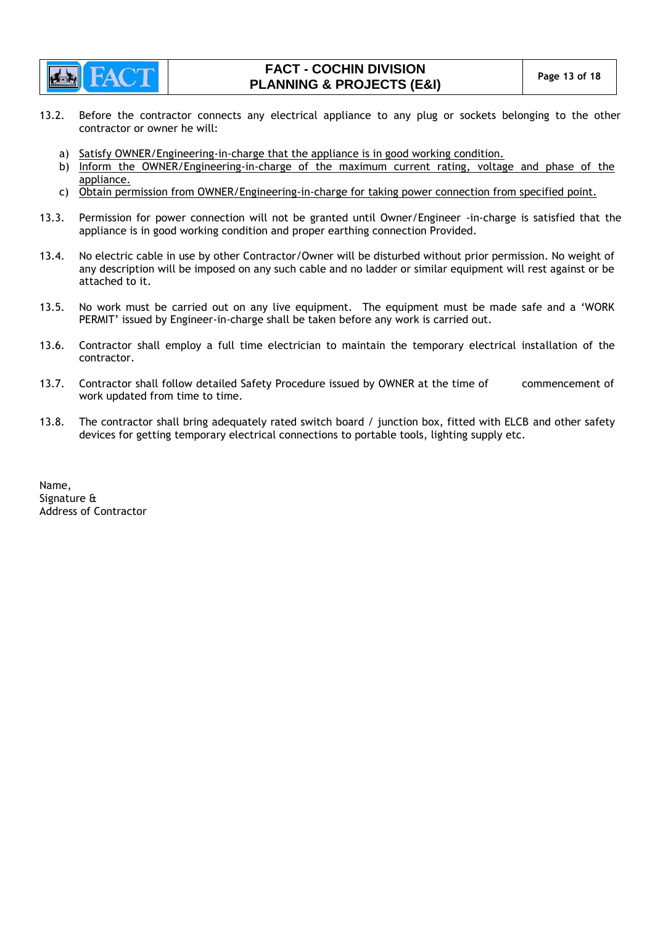

# **FACT - COCHIN DIVISION PLANNING & PROJECTS (E&I)** Page 13 of 18

- 13.2. Before the contractor connects any electrical appliance to any plug or sockets belonging to the other contractor or owner he will:
	- a) Satisfy OWNER/Engineering-in-charge that the appliance is in good working condition.
	- b) Inform the OWNER/Engineering-in-charge of the maximum current rating, voltage and phase of the appliance.
	- c) Obtain permission from OWNER/Engineering-in-charge for taking power connection from specified point.
- 13.3. Permission for power connection will not be granted until Owner/Engineer -in-charge is satisfied that the appliance is in good working condition and proper earthing connection Provided.
- 13.4. No electric cable in use by other Contractor/Owner will be disturbed without prior permission. No weight of any description will be imposed on any such cable and no ladder or similar equipment will rest against or be attached to it.
- 13.5. No work must be carried out on any live equipment. The equipment must be made safe and a "WORK PERMIT' issued by Engineer-in-charge shall be taken before any work is carried out.
- 13.6. Contractor shall employ a full time electrician to maintain the temporary electrical installation of the contractor.
- 13.7. Contractor shall follow detailed Safety Procedure issued by OWNER at the time of commencement of work updated from time to time.
- 13.8. The contractor shall bring adequately rated switch board / junction box, fitted with ELCB and other safety devices for getting temporary electrical connections to portable tools, lighting supply etc.

Name, Signature & Address of Contractor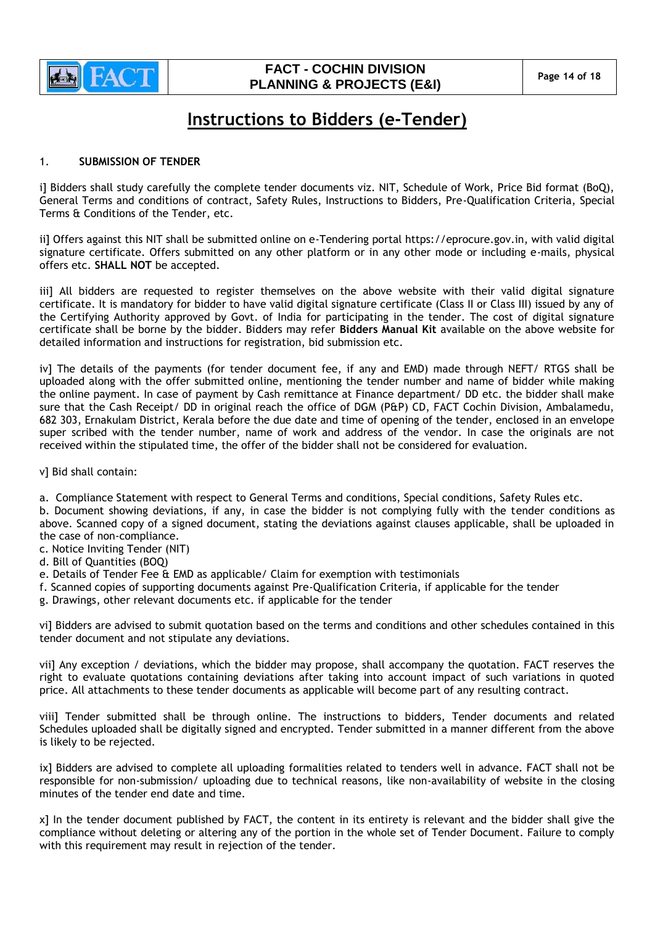

# **FACT - COCHIN DIVISION PLANNING & PROJECTS (E&I)** Page 14 of 18

# **Instructions to Bidders (e-Tender)**

## 1. **SUBMISSION OF TENDER**

i] Bidders shall study carefully the complete tender documents viz. NIT, Schedule of Work, Price Bid format (BoQ), General Terms and conditions of contract, Safety Rules, Instructions to Bidders, Pre-Qualification Criteria, Special Terms & Conditions of the Tender, etc.

ii] Offers against this NIT shall be submitted online on e-Tendering portal https://eprocure.gov.in, with valid digital signature certificate. Offers submitted on any other platform or in any other mode or including e-mails, physical offers etc. **SHALL NOT** be accepted.

iii] All bidders are requested to register themselves on the above website with their valid digital signature certificate. It is mandatory for bidder to have valid digital signature certificate (Class II or Class III) issued by any of the Certifying Authority approved by Govt. of India for participating in the tender. The cost of digital signature certificate shall be borne by the bidder. Bidders may refer **Bidders Manual Kit** available on the above website for detailed information and instructions for registration, bid submission etc.

iv] The details of the payments (for tender document fee, if any and EMD) made through NEFT/ RTGS shall be uploaded along with the offer submitted online, mentioning the tender number and name of bidder while making the online payment. In case of payment by Cash remittance at Finance department/ DD etc. the bidder shall make sure that the Cash Receipt/ DD in original reach the office of DGM (P&P) CD, FACT Cochin Division, Ambalamedu, 682 303, Ernakulam District, Kerala before the due date and time of opening of the tender, enclosed in an envelope super scribed with the tender number, name of work and address of the vendor. In case the originals are not received within the stipulated time, the offer of the bidder shall not be considered for evaluation.

v] Bid shall contain:

a. Compliance Statement with respect to General Terms and conditions, Special conditions, Safety Rules etc.

b. Document showing deviations, if any, in case the bidder is not complying fully with the tender conditions as above. Scanned copy of a signed document, stating the deviations against clauses applicable, shall be uploaded in the case of non-compliance.

c. Notice Inviting Tender (NIT)

- d. Bill of Quantities (BOQ)
- e. Details of Tender Fee & EMD as applicable/ Claim for exemption with testimonials
- f. Scanned copies of supporting documents against Pre-Qualification Criteria, if applicable for the tender
- g. Drawings, other relevant documents etc. if applicable for the tender

vi] Bidders are advised to submit quotation based on the terms and conditions and other schedules contained in this tender document and not stipulate any deviations.

vii] Any exception / deviations, which the bidder may propose, shall accompany the quotation. FACT reserves the right to evaluate quotations containing deviations after taking into account impact of such variations in quoted price. All attachments to these tender documents as applicable will become part of any resulting contract.

viii] Tender submitted shall be through online. The instructions to bidders, Tender documents and related Schedules uploaded shall be digitally signed and encrypted. Tender submitted in a manner different from the above is likely to be rejected.

ix] Bidders are advised to complete all uploading formalities related to tenders well in advance. FACT shall not be responsible for non-submission/ uploading due to technical reasons, like non-availability of website in the closing minutes of the tender end date and time.

x] In the tender document published by FACT, the content in its entirety is relevant and the bidder shall give the compliance without deleting or altering any of the portion in the whole set of Tender Document. Failure to comply with this requirement may result in rejection of the tender.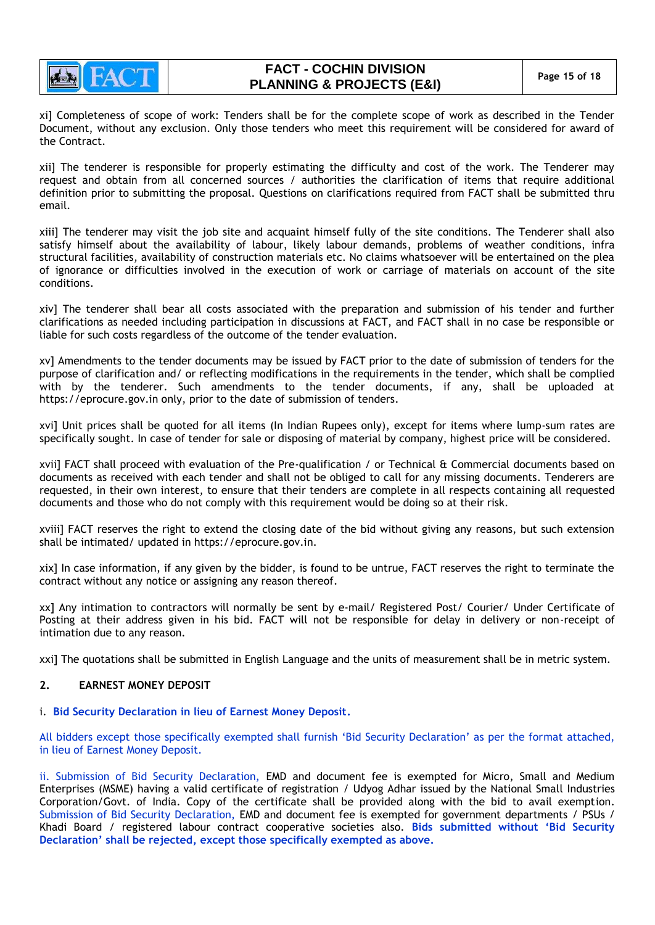

xi] Completeness of scope of work: Tenders shall be for the complete scope of work as described in the Tender Document, without any exclusion. Only those tenders who meet this requirement will be considered for award of the Contract.

xii] The tenderer is responsible for properly estimating the difficulty and cost of the work. The Tenderer may request and obtain from all concerned sources / authorities the clarification of items that require additional definition prior to submitting the proposal. Questions on clarifications required from FACT shall be submitted thru email.

xiii] The tenderer may visit the job site and acquaint himself fully of the site conditions. The Tenderer shall also satisfy himself about the availability of labour, likely labour demands, problems of weather conditions, infra structural facilities, availability of construction materials etc. No claims whatsoever will be entertained on the plea of ignorance or difficulties involved in the execution of work or carriage of materials on account of the site conditions.

xiv] The tenderer shall bear all costs associated with the preparation and submission of his tender and further clarifications as needed including participation in discussions at FACT, and FACT shall in no case be responsible or liable for such costs regardless of the outcome of the tender evaluation.

xv] Amendments to the tender documents may be issued by FACT prior to the date of submission of tenders for the purpose of clarification and/ or reflecting modifications in the requirements in the tender, which shall be complied with by the tenderer. Such amendments to the tender documents, if any, shall be uploaded at https://eprocure.gov.in only, prior to the date of submission of tenders.

xvi] Unit prices shall be quoted for all items (In Indian Rupees only), except for items where lump-sum rates are specifically sought. In case of tender for sale or disposing of material by company, highest price will be considered.

xvii] FACT shall proceed with evaluation of the Pre-qualification / or Technical & Commercial documents based on documents as received with each tender and shall not be obliged to call for any missing documents. Tenderers are requested, in their own interest, to ensure that their tenders are complete in all respects containing all requested documents and those who do not comply with this requirement would be doing so at their risk.

xviii] FACT reserves the right to extend the closing date of the bid without giving any reasons, but such extension shall be intimated/ updated in https://eprocure.gov.in.

xix] In case information, if any given by the bidder, is found to be untrue, FACT reserves the right to terminate the contract without any notice or assigning any reason thereof.

xx] Any intimation to contractors will normally be sent by e-mail/ Registered Post/ Courier/ Under Certificate of Posting at their address given in his bid. FACT will not be responsible for delay in delivery or non-receipt of intimation due to any reason.

xxi] The quotations shall be submitted in English Language and the units of measurement shall be in metric system.

## **2. EARNEST MONEY DEPOSIT**

#### i. **Bid Security Declaration in lieu of Earnest Money Deposit.**

All bidders except those specifically exempted shall furnish "Bid Security Declaration" as per the format attached, in lieu of Earnest Money Deposit.

ii. Submission of Bid Security Declaration, EMD and document fee is exempted for Micro, Small and Medium Enterprises (MSME) having a valid certificate of registration / Udyog Adhar issued by the National Small Industries Corporation/Govt. of India. Copy of the certificate shall be provided along with the bid to avail exemption. Submission of Bid Security Declaration, EMD and document fee is exempted for government departments / PSUs / Khadi Board / registered labour contract cooperative societies also. **Bids submitted without 'Bid Security Declaration' shall be rejected, except those specifically exempted as above.**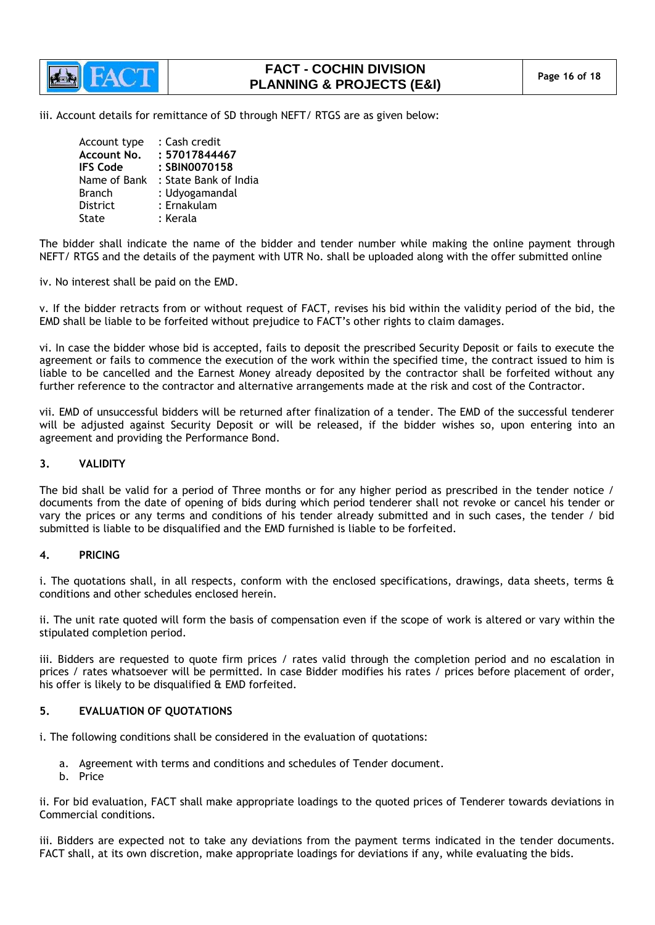

# **FACT - COCHIN DIVISION PLANNING & PROJECTS (E&I)** Page 16 of 18

iii. Account details for remittance of SD through NEFT/ RTGS are as given below:

| Account type<br>Account No.<br><b>IFS Code</b> | : Cash credit<br>: 57017844467<br>: SBIN0070158 |
|------------------------------------------------|-------------------------------------------------|
| Name of Bank                                   | : State Bank of India                           |
| <b>Branch</b>                                  | : Udyogamandal                                  |
| <b>District</b>                                | : Ernakulam                                     |
| State                                          | : Kerala                                        |

The bidder shall indicate the name of the bidder and tender number while making the online payment through NEFT/ RTGS and the details of the payment with UTR No. shall be uploaded along with the offer submitted online

iv. No interest shall be paid on the EMD.

v. If the bidder retracts from or without request of FACT, revises his bid within the validity period of the bid, the EMD shall be liable to be forfeited without prejudice to FACT"s other rights to claim damages.

vi. In case the bidder whose bid is accepted, fails to deposit the prescribed Security Deposit or fails to execute the agreement or fails to commence the execution of the work within the specified time, the contract issued to him is liable to be cancelled and the Earnest Money already deposited by the contractor shall be forfeited without any further reference to the contractor and alternative arrangements made at the risk and cost of the Contractor.

vii. EMD of unsuccessful bidders will be returned after finalization of a tender. The EMD of the successful tenderer will be adjusted against Security Deposit or will be released, if the bidder wishes so, upon entering into an agreement and providing the Performance Bond.

## **3. VALIDITY**

The bid shall be valid for a period of Three months or for any higher period as prescribed in the tender notice / documents from the date of opening of bids during which period tenderer shall not revoke or cancel his tender or vary the prices or any terms and conditions of his tender already submitted and in such cases, the tender / bid submitted is liable to be disqualified and the EMD furnished is liable to be forfeited.

#### **4. PRICING**

i. The quotations shall, in all respects, conform with the enclosed specifications, drawings, data sheets, terms & conditions and other schedules enclosed herein.

ii. The unit rate quoted will form the basis of compensation even if the scope of work is altered or vary within the stipulated completion period.

iii. Bidders are requested to quote firm prices / rates valid through the completion period and no escalation in prices / rates whatsoever will be permitted. In case Bidder modifies his rates / prices before placement of order, his offer is likely to be disqualified & EMD forfeited.

## **5. EVALUATION OF QUOTATIONS**

i. The following conditions shall be considered in the evaluation of quotations:

- a. Agreement with terms and conditions and schedules of Tender document.
- b. Price

ii. For bid evaluation, FACT shall make appropriate loadings to the quoted prices of Tenderer towards deviations in Commercial conditions.

iii. Bidders are expected not to take any deviations from the payment terms indicated in the tender documents. FACT shall, at its own discretion, make appropriate loadings for deviations if any, while evaluating the bids.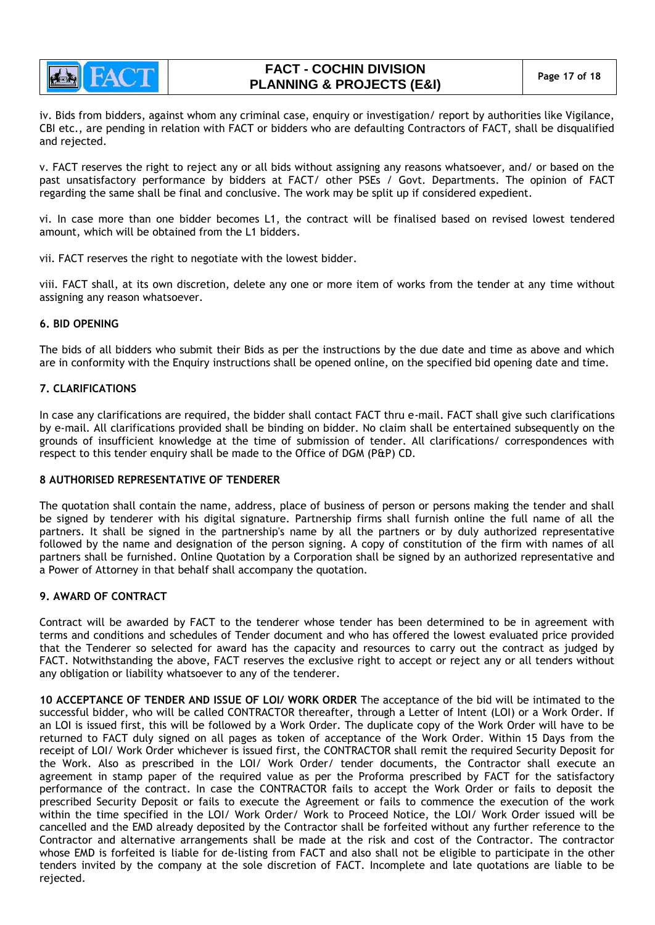

# **FACT - COCHIN DIVISION PLANNING & PROJECTS (E&I)** Page 17 of 18

iv. Bids from bidders, against whom any criminal case, enquiry or investigation/ report by authorities like Vigilance, CBI etc., are pending in relation with FACT or bidders who are defaulting Contractors of FACT, shall be disqualified and rejected.

v. FACT reserves the right to reject any or all bids without assigning any reasons whatsoever, and/ or based on the past unsatisfactory performance by bidders at FACT/ other PSEs / Govt. Departments. The opinion of FACT regarding the same shall be final and conclusive. The work may be split up if considered expedient.

vi. In case more than one bidder becomes L1, the contract will be finalised based on revised lowest tendered amount, which will be obtained from the L1 bidders.

vii. FACT reserves the right to negotiate with the lowest bidder.

viii. FACT shall, at its own discretion, delete any one or more item of works from the tender at any time without assigning any reason whatsoever.

## **6. BID OPENING**

The bids of all bidders who submit their Bids as per the instructions by the due date and time as above and which are in conformity with the Enquiry instructions shall be opened online, on the specified bid opening date and time.

## **7. CLARIFICATIONS**

In case any clarifications are required, the bidder shall contact FACT thru e-mail. FACT shall give such clarifications by e-mail. All clarifications provided shall be binding on bidder. No claim shall be entertained subsequently on the grounds of insufficient knowledge at the time of submission of tender. All clarifications/ correspondences with respect to this tender enquiry shall be made to the Office of DGM (P&P) CD.

#### **8 AUTHORISED REPRESENTATIVE OF TENDERER**

The quotation shall contain the name, address, place of business of person or persons making the tender and shall be signed by tenderer with his digital signature. Partnership firms shall furnish online the full name of all the partners. It shall be signed in the partnership's name by all the partners or by duly authorized representative followed by the name and designation of the person signing. A copy of constitution of the firm with names of all partners shall be furnished. Online Quotation by a Corporation shall be signed by an authorized representative and a Power of Attorney in that behalf shall accompany the quotation.

## **9. AWARD OF CONTRACT**

Contract will be awarded by FACT to the tenderer whose tender has been determined to be in agreement with terms and conditions and schedules of Tender document and who has offered the lowest evaluated price provided that the Tenderer so selected for award has the capacity and resources to carry out the contract as judged by FACT. Notwithstanding the above, FACT reserves the exclusive right to accept or reject any or all tenders without any obligation or liability whatsoever to any of the tenderer.

**10 ACCEPTANCE OF TENDER AND ISSUE OF LOI/ WORK ORDER** The acceptance of the bid will be intimated to the successful bidder, who will be called CONTRACTOR thereafter, through a Letter of Intent (LOI) or a Work Order. If an LOI is issued first, this will be followed by a Work Order. The duplicate copy of the Work Order will have to be returned to FACT duly signed on all pages as token of acceptance of the Work Order. Within 15 Days from the receipt of LOI/ Work Order whichever is issued first, the CONTRACTOR shall remit the required Security Deposit for the Work. Also as prescribed in the LOI/ Work Order/ tender documents, the Contractor shall execute an agreement in stamp paper of the required value as per the Proforma prescribed by FACT for the satisfactory performance of the contract. In case the CONTRACTOR fails to accept the Work Order or fails to deposit the prescribed Security Deposit or fails to execute the Agreement or fails to commence the execution of the work within the time specified in the LOI/ Work Order/ Work to Proceed Notice, the LOI/ Work Order issued will be cancelled and the EMD already deposited by the Contractor shall be forfeited without any further reference to the Contractor and alternative arrangements shall be made at the risk and cost of the Contractor. The contractor whose EMD is forfeited is liable for de-listing from FACT and also shall not be eligible to participate in the other tenders invited by the company at the sole discretion of FACT. Incomplete and late quotations are liable to be rejected.